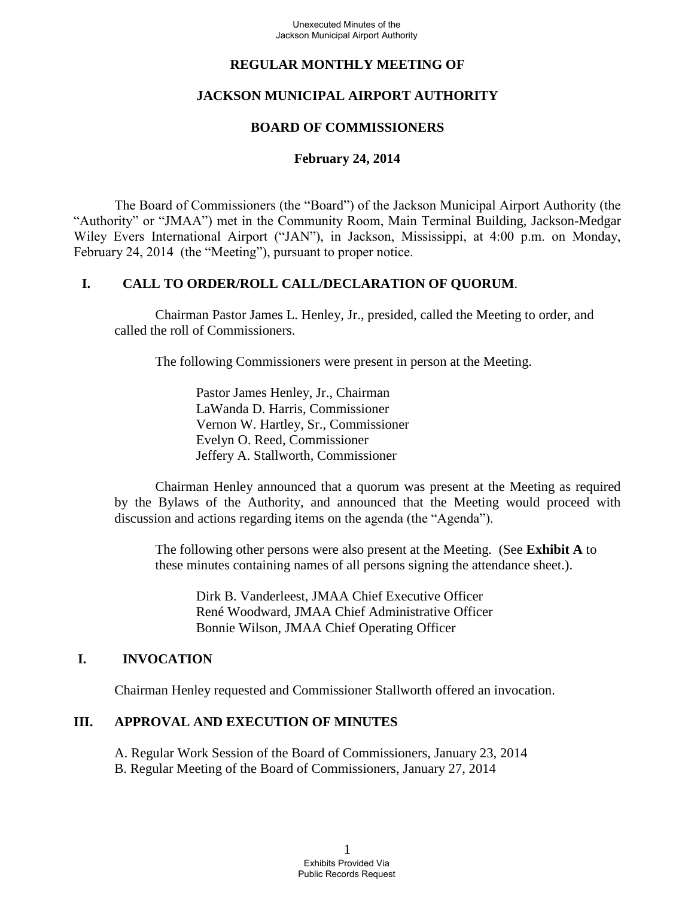## **REGULAR MONTHLY MEETING OF**

# **JACKSON MUNICIPAL AIRPORT AUTHORITY**

## **BOARD OF COMMISSIONERS**

### **February 24, 2014**

The Board of Commissioners (the "Board") of the Jackson Municipal Airport Authority (the "Authority" or "JMAA") met in the Community Room, Main Terminal Building, Jackson-Medgar Wiley Evers International Airport ("JAN"), in Jackson, Mississippi, at 4:00 p.m. on Monday, February 24, 2014 (the "Meeting"), pursuant to proper notice.

## **I. CALL TO ORDER/ROLL CALL/DECLARATION OF QUORUM**.

 Chairman Pastor James L. Henley, Jr., presided, called the Meeting to order, and called the roll of Commissioners.

The following Commissioners were present in person at the Meeting.

Pastor James Henley, Jr., Chairman LaWanda D. Harris, Commissioner Vernon W. Hartley, Sr., Commissioner Evelyn O. Reed, Commissioner Jeffery A. Stallworth, Commissioner

 Chairman Henley announced that a quorum was present at the Meeting as required by the Bylaws of the Authority, and announced that the Meeting would proceed with discussion and actions regarding items on the agenda (the "Agenda").

The following other persons were also present at the Meeting. (See **Exhibit A** to these minutes containing names of all persons signing the attendance sheet.).

Dirk B. Vanderleest, JMAA Chief Executive Officer René Woodward, JMAA Chief Administrative Officer Bonnie Wilson, JMAA Chief Operating Officer

#### **I. INVOCATION**

Chairman Henley requested and Commissioner Stallworth offered an invocation.

## **III. APPROVAL AND EXECUTION OF MINUTES**

- A. Regular Work Session of the Board of Commissioners, January 23, 2014
- B. Regular Meeting of the Board of Commissioners, January 27, 2014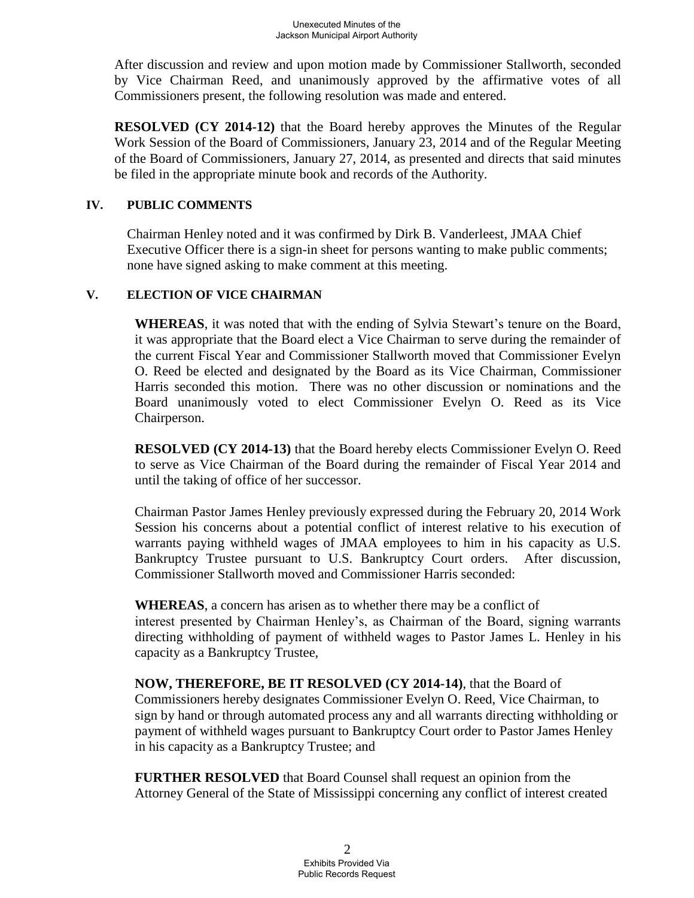After discussion and review and upon motion made by Commissioner Stallworth, seconded by Vice Chairman Reed, and unanimously approved by the affirmative votes of all Commissioners present, the following resolution was made and entered.

**RESOLVED (CY 2014-12)** that the Board hereby approves the Minutes of the Regular Work Session of the Board of Commissioners, January 23, 2014 and of the Regular Meeting of the Board of Commissioners, January 27, 2014, as presented and directs that said minutes be filed in the appropriate minute book and records of the Authority.

#### **IV. PUBLIC COMMENTS**

Chairman Henley noted and it was confirmed by Dirk B. Vanderleest, JMAA Chief Executive Officer there is a sign-in sheet for persons wanting to make public comments; none have signed asking to make comment at this meeting.

#### **V. ELECTION OF VICE CHAIRMAN**

**WHEREAS**, it was noted that with the ending of Sylvia Stewart's tenure on the Board, it was appropriate that the Board elect a Vice Chairman to serve during the remainder of the current Fiscal Year and Commissioner Stallworth moved that Commissioner Evelyn O. Reed be elected and designated by the Board as its Vice Chairman, Commissioner Harris seconded this motion. There was no other discussion or nominations and the Board unanimously voted to elect Commissioner Evelyn O. Reed as its Vice Chairperson.

**RESOLVED (CY 2014-13)** that the Board hereby elects Commissioner Evelyn O. Reed to serve as Vice Chairman of the Board during the remainder of Fiscal Year 2014 and until the taking of office of her successor.

Chairman Pastor James Henley previously expressed during the February 20, 2014 Work Session his concerns about a potential conflict of interest relative to his execution of warrants paying withheld wages of JMAA employees to him in his capacity as U.S. Bankruptcy Trustee pursuant to U.S. Bankruptcy Court orders. After discussion, Commissioner Stallworth moved and Commissioner Harris seconded:

**WHEREAS**, a concern has arisen as to whether there may be a conflict of interest presented by Chairman Henley's, as Chairman of the Board, signing warrants directing withholding of payment of withheld wages to Pastor James L. Henley in his capacity as a Bankruptcy Trustee,

**NOW, THEREFORE, BE IT RESOLVED (CY 2014-14)**, that the Board of Commissioners hereby designates Commissioner Evelyn O. Reed, Vice Chairman, to sign by hand or through automated process any and all warrants directing withholding or payment of withheld wages pursuant to Bankruptcy Court order to Pastor James Henley in his capacity as a Bankruptcy Trustee; and

**FURTHER RESOLVED** that Board Counsel shall request an opinion from the Attorney General of the State of Mississippi concerning any conflict of interest created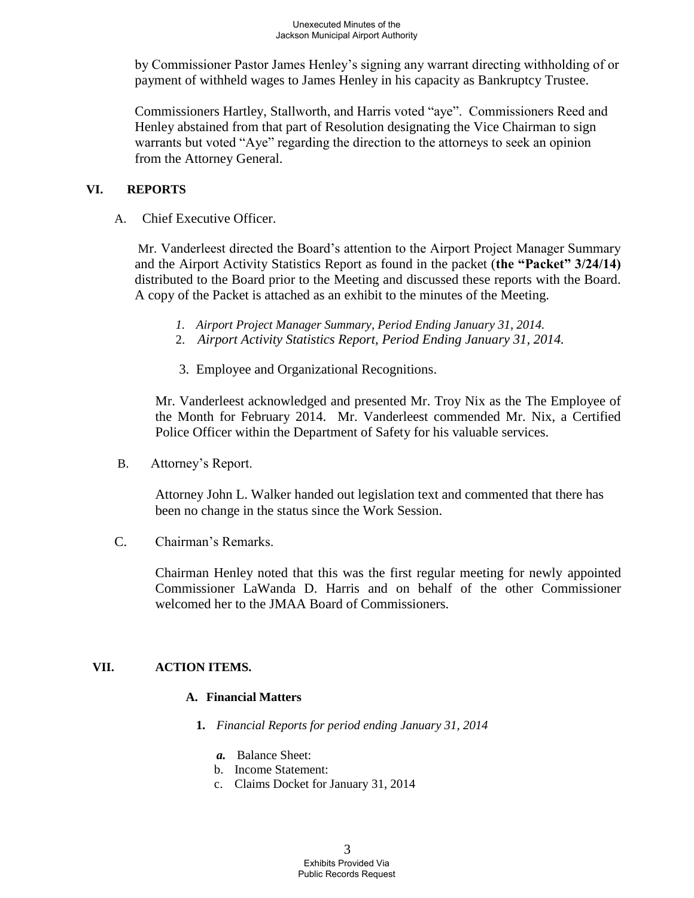by Commissioner Pastor James Henley's signing any warrant directing withholding of or payment of withheld wages to James Henley in his capacity as Bankruptcy Trustee.

Commissioners Hartley, Stallworth, and Harris voted "aye". Commissioners Reed and Henley abstained from that part of Resolution designating the Vice Chairman to sign warrants but voted "Aye" regarding the direction to the attorneys to seek an opinion from the Attorney General.

#### **VI. REPORTS**

A. Chief Executive Officer.

Mr. Vanderleest directed the Board's attention to the Airport Project Manager Summary and the Airport Activity Statistics Report as found in the packet (**the "Packet" 3/24/14)** distributed to the Board prior to the Meeting and discussed these reports with the Board. A copy of the Packet is attached as an exhibit to the minutes of the Meeting.

- *1. Airport Project Manager Summary, Period Ending January 31, 2014.*
- 2. *Airport Activity Statistics Report, Period Ending January 31, 2014.*
	- 3. Employee and Organizational Recognitions.

Mr. Vanderleest acknowledged and presented Mr. Troy Nix as the The Employee of the Month for February 2014. Mr. Vanderleest commended Mr. Nix, a Certified Police Officer within the Department of Safety for his valuable services.

B. Attorney's Report.

Attorney John L. Walker handed out legislation text and commented that there has been no change in the status since the Work Session.

C. Chairman's Remarks.

Chairman Henley noted that this was the first regular meeting for newly appointed Commissioner LaWanda D. Harris and on behalf of the other Commissioner welcomed her to the JMAA Board of Commissioners.

## **VII. ACTION ITEMS.**

#### **A. Financial Matters**

- **1.** *Financial Reports for period ending January 31, 2014* 
	- *a.* Balance Sheet:
	- b. Income Statement:
	- c. Claims Docket for January 31, 2014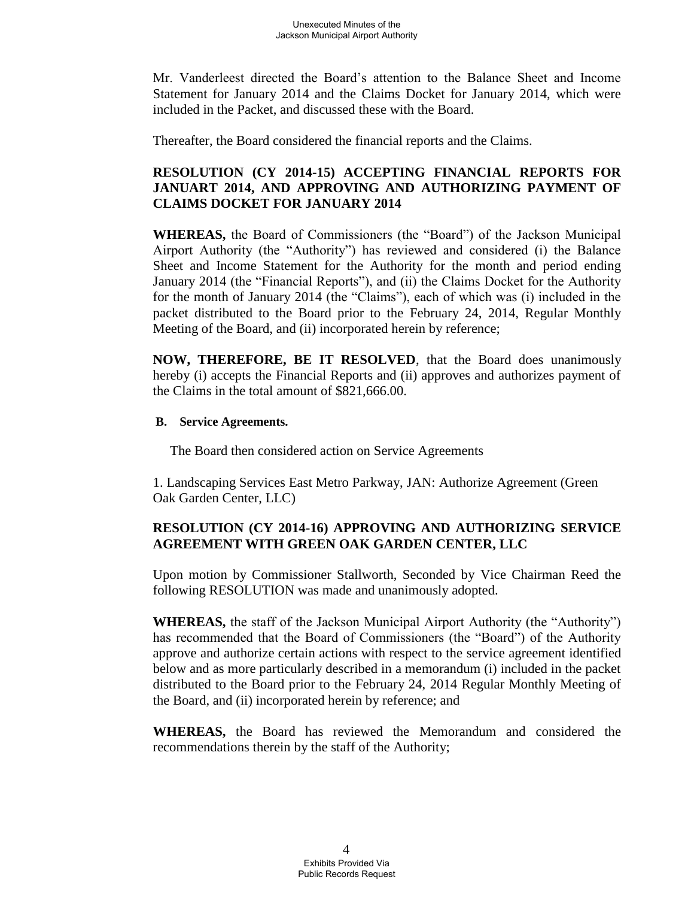Mr. Vanderleest directed the Board's attention to the Balance Sheet and Income Statement for January 2014 and the Claims Docket for January 2014, which were included in the Packet, and discussed these with the Board.

Thereafter, the Board considered the financial reports and the Claims.

# **RESOLUTION (CY 2014-15) ACCEPTING FINANCIAL REPORTS FOR JANUART 2014, AND APPROVING AND AUTHORIZING PAYMENT OF CLAIMS DOCKET FOR JANUARY 2014**

**WHEREAS,** the Board of Commissioners (the "Board") of the Jackson Municipal Airport Authority (the "Authority") has reviewed and considered (i) the Balance Sheet and Income Statement for the Authority for the month and period ending January 2014 (the "Financial Reports"), and (ii) the Claims Docket for the Authority for the month of January 2014 (the "Claims"), each of which was (i) included in the packet distributed to the Board prior to the February 24, 2014, Regular Monthly Meeting of the Board, and (ii) incorporated herein by reference;

**NOW, THEREFORE, BE IT RESOLVED**, that the Board does unanimously hereby (i) accepts the Financial Reports and (ii) approves and authorizes payment of the Claims in the total amount of \$821,666.00.

#### **B. Service Agreements.**

The Board then considered action on Service Agreements

1. Landscaping Services East Metro Parkway, JAN: Authorize Agreement (Green Oak Garden Center, LLC)

# **RESOLUTION (CY 2014-16) APPROVING AND AUTHORIZING SERVICE AGREEMENT WITH GREEN OAK GARDEN CENTER, LLC**

Upon motion by Commissioner Stallworth, Seconded by Vice Chairman Reed the following RESOLUTION was made and unanimously adopted.

**WHEREAS,** the staff of the Jackson Municipal Airport Authority (the "Authority") has recommended that the Board of Commissioners (the "Board") of the Authority approve and authorize certain actions with respect to the service agreement identified below and as more particularly described in a memorandum (i) included in the packet distributed to the Board prior to the February 24, 2014 Regular Monthly Meeting of the Board, and (ii) incorporated herein by reference; and

**WHEREAS,** the Board has reviewed the Memorandum and considered the recommendations therein by the staff of the Authority;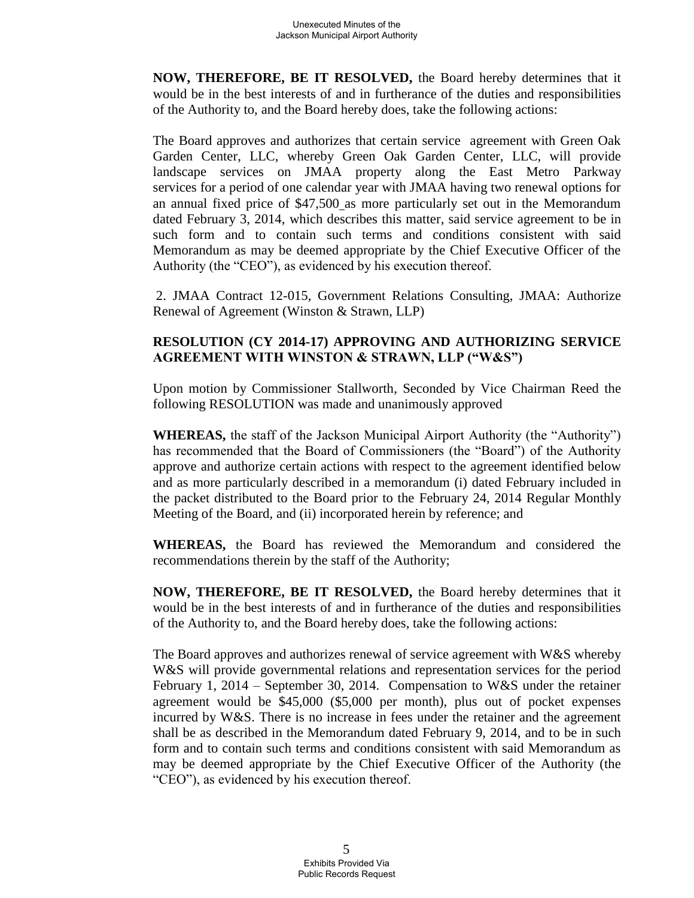**NOW, THEREFORE, BE IT RESOLVED,** the Board hereby determines that it would be in the best interests of and in furtherance of the duties and responsibilities of the Authority to, and the Board hereby does, take the following actions:

The Board approves and authorizes that certain service agreement with Green Oak Garden Center, LLC, whereby Green Oak Garden Center, LLC, will provide landscape services on JMAA property along the East Metro Parkway services for a period of one calendar year with JMAA having two renewal options for an annual fixed price of \$47,500 as more particularly set out in the Memorandum dated February 3, 2014, which describes this matter, said service agreement to be in such form and to contain such terms and conditions consistent with said Memorandum as may be deemed appropriate by the Chief Executive Officer of the Authority (the "CEO"), as evidenced by his execution thereof.

2. JMAA Contract 12-015, Government Relations Consulting, JMAA: Authorize Renewal of Agreement (Winston & Strawn, LLP)

# **RESOLUTION (CY 2014-17) APPROVING AND AUTHORIZING SERVICE AGREEMENT WITH WINSTON & STRAWN, LLP ("W&S")**

Upon motion by Commissioner Stallworth, Seconded by Vice Chairman Reed the following RESOLUTION was made and unanimously approved

**WHEREAS,** the staff of the Jackson Municipal Airport Authority (the "Authority") has recommended that the Board of Commissioners (the "Board") of the Authority approve and authorize certain actions with respect to the agreement identified below and as more particularly described in a memorandum (i) dated February included in the packet distributed to the Board prior to the February 24, 2014 Regular Monthly Meeting of the Board, and (ii) incorporated herein by reference; and

**WHEREAS,** the Board has reviewed the Memorandum and considered the recommendations therein by the staff of the Authority;

**NOW, THEREFORE, BE IT RESOLVED,** the Board hereby determines that it would be in the best interests of and in furtherance of the duties and responsibilities of the Authority to, and the Board hereby does, take the following actions:

The Board approves and authorizes renewal of service agreement with W&S whereby W&S will provide governmental relations and representation services for the period February 1, 2014 – September 30, 2014. Compensation to W&S under the retainer agreement would be \$45,000 (\$5,000 per month), plus out of pocket expenses incurred by W&S. There is no increase in fees under the retainer and the agreement shall be as described in the Memorandum dated February 9, 2014, and to be in such form and to contain such terms and conditions consistent with said Memorandum as may be deemed appropriate by the Chief Executive Officer of the Authority (the "CEO"), as evidenced by his execution thereof.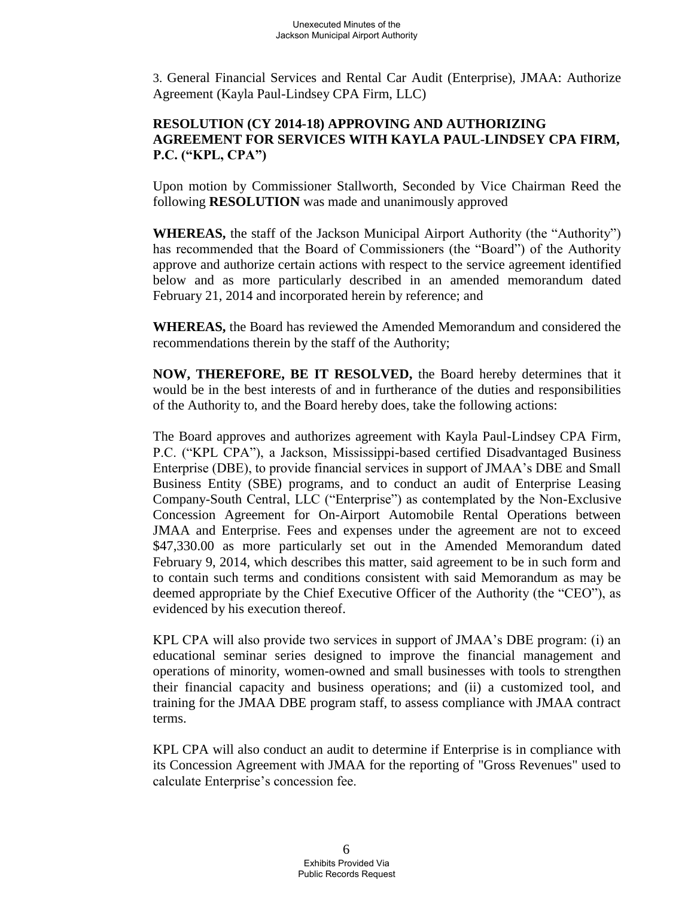3. General Financial Services and Rental Car Audit (Enterprise), JMAA: Authorize Agreement (Kayla Paul-Lindsey CPA Firm, LLC)

# **RESOLUTION (CY 2014-18) APPROVING AND AUTHORIZING AGREEMENT FOR SERVICES WITH KAYLA PAUL-LINDSEY CPA FIRM, P.C. ("KPL, CPA")**

Upon motion by Commissioner Stallworth, Seconded by Vice Chairman Reed the following **RESOLUTION** was made and unanimously approved

**WHEREAS,** the staff of the Jackson Municipal Airport Authority (the "Authority") has recommended that the Board of Commissioners (the "Board") of the Authority approve and authorize certain actions with respect to the service agreement identified below and as more particularly described in an amended memorandum dated February 21, 2014 and incorporated herein by reference; and

**WHEREAS,** the Board has reviewed the Amended Memorandum and considered the recommendations therein by the staff of the Authority;

**NOW, THEREFORE, BE IT RESOLVED,** the Board hereby determines that it would be in the best interests of and in furtherance of the duties and responsibilities of the Authority to, and the Board hereby does, take the following actions:

The Board approves and authorizes agreement with Kayla Paul-Lindsey CPA Firm, P.C. ("KPL CPA"), a Jackson, Mississippi-based certified Disadvantaged Business Enterprise (DBE), to provide financial services in support of JMAA's DBE and Small Business Entity (SBE) programs, and to conduct an audit of Enterprise Leasing Company-South Central, LLC ("Enterprise") as contemplated by the Non-Exclusive Concession Agreement for On-Airport Automobile Rental Operations between JMAA and Enterprise. Fees and expenses under the agreement are not to exceed \$47,330.00 as more particularly set out in the Amended Memorandum dated February 9, 2014, which describes this matter, said agreement to be in such form and to contain such terms and conditions consistent with said Memorandum as may be deemed appropriate by the Chief Executive Officer of the Authority (the "CEO"), as evidenced by his execution thereof.

KPL CPA will also provide two services in support of JMAA's DBE program: (i) an educational seminar series designed to improve the financial management and operations of minority, women-owned and small businesses with tools to strengthen their financial capacity and business operations; and (ii) a customized tool, and training for the JMAA DBE program staff, to assess compliance with JMAA contract terms.

KPL CPA will also conduct an audit to determine if Enterprise is in compliance with its Concession Agreement with JMAA for the reporting of "Gross Revenues" used to calculate Enterprise's concession fee.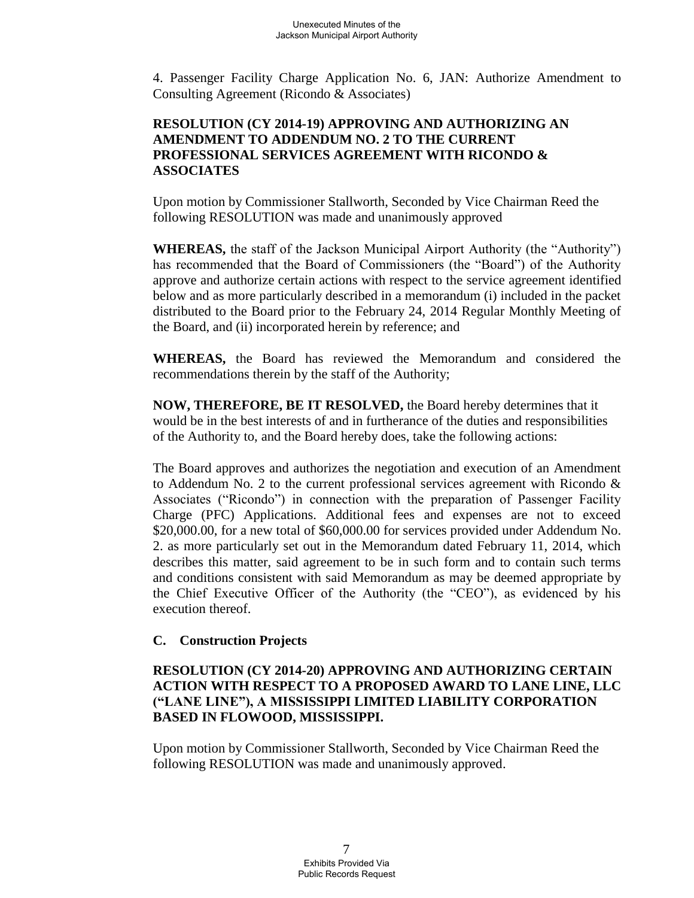4. Passenger Facility Charge Application No. 6, JAN: Authorize Amendment to Consulting Agreement (Ricondo & Associates)

# **RESOLUTION (CY 2014-19) APPROVING AND AUTHORIZING AN AMENDMENT TO ADDENDUM NO. 2 TO THE CURRENT PROFESSIONAL SERVICES AGREEMENT WITH RICONDO & ASSOCIATES**

Upon motion by Commissioner Stallworth, Seconded by Vice Chairman Reed the following RESOLUTION was made and unanimously approved

**WHEREAS,** the staff of the Jackson Municipal Airport Authority (the "Authority") has recommended that the Board of Commissioners (the "Board") of the Authority approve and authorize certain actions with respect to the service agreement identified below and as more particularly described in a memorandum (i) included in the packet distributed to the Board prior to the February 24, 2014 Regular Monthly Meeting of the Board, and (ii) incorporated herein by reference; and

**WHEREAS,** the Board has reviewed the Memorandum and considered the recommendations therein by the staff of the Authority;

**NOW, THEREFORE, BE IT RESOLVED,** the Board hereby determines that it would be in the best interests of and in furtherance of the duties and responsibilities of the Authority to, and the Board hereby does, take the following actions:

The Board approves and authorizes the negotiation and execution of an Amendment to Addendum No. 2 to the current professional services agreement with Ricondo & Associates ("Ricondo") in connection with the preparation of Passenger Facility Charge (PFC) Applications. Additional fees and expenses are not to exceed \$20,000.00, for a new total of \$60,000.00 for services provided under Addendum No. 2. as more particularly set out in the Memorandum dated February 11, 2014, which describes this matter, said agreement to be in such form and to contain such terms and conditions consistent with said Memorandum as may be deemed appropriate by the Chief Executive Officer of the Authority (the "CEO"), as evidenced by his execution thereof.

## **C. Construction Projects**

## **RESOLUTION (CY 2014-20) APPROVING AND AUTHORIZING CERTAIN ACTION WITH RESPECT TO A PROPOSED AWARD TO LANE LINE, LLC ("LANE LINE"), A MISSISSIPPI LIMITED LIABILITY CORPORATION BASED IN FLOWOOD, MISSISSIPPI.**

Upon motion by Commissioner Stallworth, Seconded by Vice Chairman Reed the following RESOLUTION was made and unanimously approved.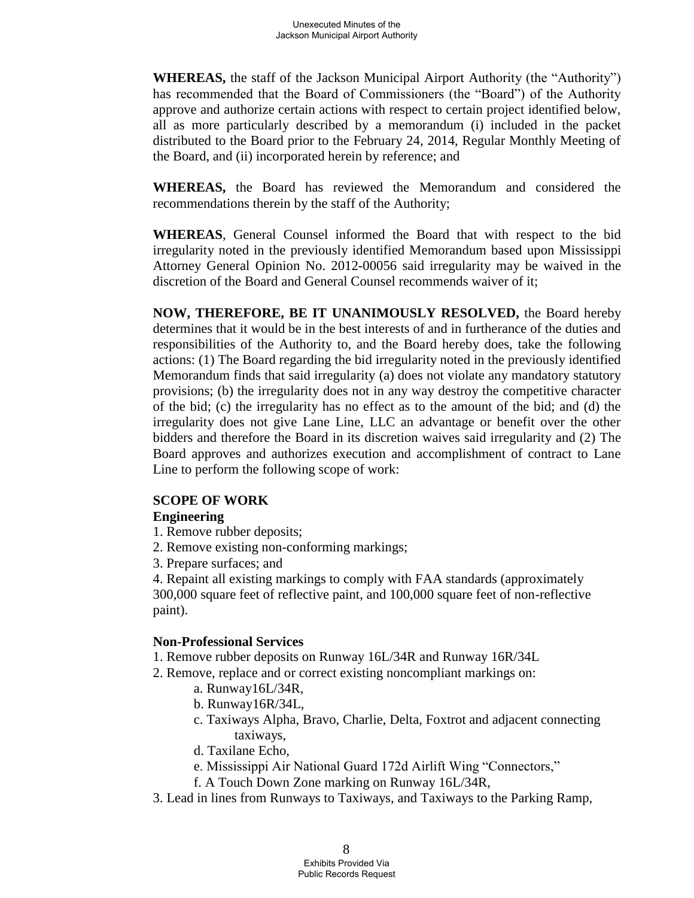**WHEREAS,** the staff of the Jackson Municipal Airport Authority (the "Authority") has recommended that the Board of Commissioners (the "Board") of the Authority approve and authorize certain actions with respect to certain project identified below, all as more particularly described by a memorandum (i) included in the packet distributed to the Board prior to the February 24, 2014, Regular Monthly Meeting of the Board, and (ii) incorporated herein by reference; and

**WHEREAS,** the Board has reviewed the Memorandum and considered the recommendations therein by the staff of the Authority;

**WHEREAS**, General Counsel informed the Board that with respect to the bid irregularity noted in the previously identified Memorandum based upon Mississippi Attorney General Opinion No. 2012-00056 said irregularity may be waived in the discretion of the Board and General Counsel recommends waiver of it;

**NOW, THEREFORE, BE IT UNANIMOUSLY RESOLVED,** the Board hereby determines that it would be in the best interests of and in furtherance of the duties and responsibilities of the Authority to, and the Board hereby does, take the following actions: (1) The Board regarding the bid irregularity noted in the previously identified Memorandum finds that said irregularity (a) does not violate any mandatory statutory provisions; (b) the irregularity does not in any way destroy the competitive character of the bid; (c) the irregularity has no effect as to the amount of the bid; and (d) the irregularity does not give Lane Line, LLC an advantage or benefit over the other bidders and therefore the Board in its discretion waives said irregularity and (2) The Board approves and authorizes execution and accomplishment of contract to Lane Line to perform the following scope of work:

#### **SCOPE OF WORK**

#### **Engineering**

- 1. Remove rubber deposits;
- 2. Remove existing non-conforming markings;
- 3. Prepare surfaces; and

4. Repaint all existing markings to comply with FAA standards (approximately 300,000 square feet of reflective paint, and 100,000 square feet of non-reflective paint).

#### **Non-Professional Services**

- 1. Remove rubber deposits on Runway 16L/34R and Runway 16R/34L
- 2. Remove, replace and or correct existing noncompliant markings on:
	- a. Runway16L/34R,
	- b. Runway16R/34L,
	- c. Taxiways Alpha, Bravo, Charlie, Delta, Foxtrot and adjacent connecting taxiways,
	- d. Taxilane Echo,
	- e. Mississippi Air National Guard 172d Airlift Wing "Connectors,"
	- f. A Touch Down Zone marking on Runway 16L/34R,
- 3. Lead in lines from Runways to Taxiways, and Taxiways to the Parking Ramp,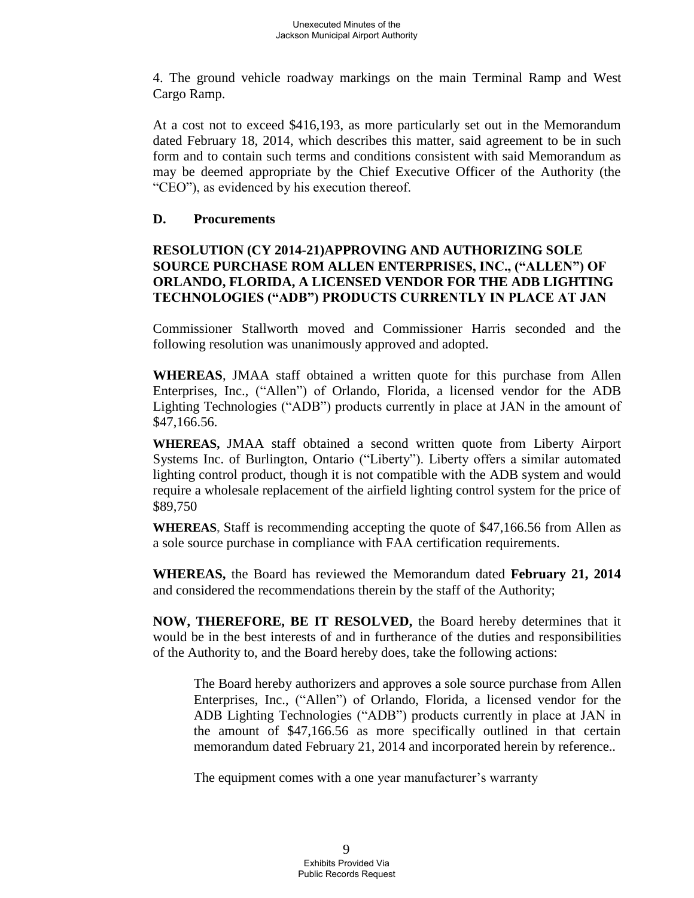4. The ground vehicle roadway markings on the main Terminal Ramp and West Cargo Ramp.

At a cost not to exceed \$416,193, as more particularly set out in the Memorandum dated February 18, 2014, which describes this matter, said agreement to be in such form and to contain such terms and conditions consistent with said Memorandum as may be deemed appropriate by the Chief Executive Officer of the Authority (the "CEO"), as evidenced by his execution thereof.

### **D. Procurements**

## **RESOLUTION (CY 2014-21)APPROVING AND AUTHORIZING SOLE SOURCE PURCHASE ROM ALLEN ENTERPRISES, INC., ("ALLEN") OF ORLANDO, FLORIDA, A LICENSED VENDOR FOR THE ADB LIGHTING TECHNOLOGIES ("ADB") PRODUCTS CURRENTLY IN PLACE AT JAN**

Commissioner Stallworth moved and Commissioner Harris seconded and the following resolution was unanimously approved and adopted.

**WHEREAS**, JMAA staff obtained a written quote for this purchase from Allen Enterprises, Inc., ("Allen") of Orlando, Florida, a licensed vendor for the ADB Lighting Technologies ("ADB") products currently in place at JAN in the amount of \$47,166.56.

**WHEREAS,** JMAA staff obtained a second written quote from Liberty Airport Systems Inc. of Burlington, Ontario ("Liberty"). Liberty offers a similar automated lighting control product, though it is not compatible with the ADB system and would require a wholesale replacement of the airfield lighting control system for the price of \$89,750

**WHEREAS,** Staff is recommending accepting the quote of \$47,166.56 from Allen as a sole source purchase in compliance with FAA certification requirements.

**WHEREAS,** the Board has reviewed the Memorandum dated **February 21, 2014**  and considered the recommendations therein by the staff of the Authority;

**NOW, THEREFORE, BE IT RESOLVED,** the Board hereby determines that it would be in the best interests of and in furtherance of the duties and responsibilities of the Authority to, and the Board hereby does, take the following actions:

The Board hereby authorizers and approves a sole source purchase from Allen Enterprises, Inc., ("Allen") of Orlando, Florida, a licensed vendor for the ADB Lighting Technologies ("ADB") products currently in place at JAN in the amount of \$47,166.56 as more specifically outlined in that certain memorandum dated February 21, 2014 and incorporated herein by reference..

The equipment comes with a one year manufacturer's warranty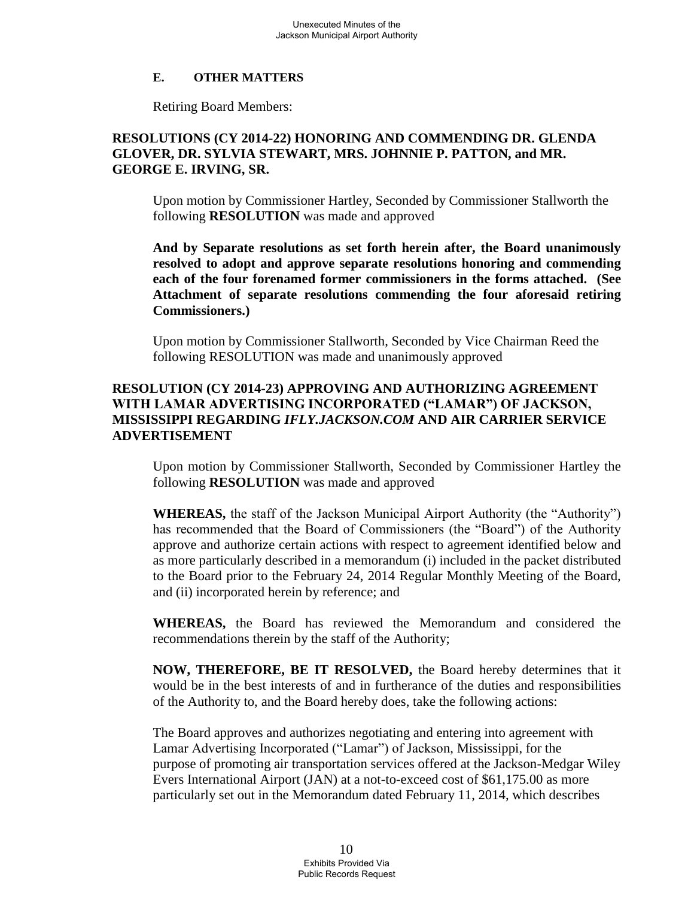### **E. OTHER MATTERS**

Retiring Board Members:

# **RESOLUTIONS (CY 2014-22) HONORING AND COMMENDING DR. GLENDA GLOVER, DR. SYLVIA STEWART, MRS. JOHNNIE P. PATTON, and MR. GEORGE E. IRVING, SR.**

Upon motion by Commissioner Hartley, Seconded by Commissioner Stallworth the following **RESOLUTION** was made and approved

**And by Separate resolutions as set forth herein after, the Board unanimously resolved to adopt and approve separate resolutions honoring and commending each of the four forenamed former commissioners in the forms attached. (See Attachment of separate resolutions commending the four aforesaid retiring Commissioners.)** 

Upon motion by Commissioner Stallworth, Seconded by Vice Chairman Reed the following RESOLUTION was made and unanimously approved

## **RESOLUTION (CY 2014-23) APPROVING AND AUTHORIZING AGREEMENT WITH LAMAR ADVERTISING INCORPORATED ("LAMAR") OF JACKSON, MISSISSIPPI REGARDING** *IFLY.JACKSON.COM* **AND AIR CARRIER SERVICE ADVERTISEMENT**

Upon motion by Commissioner Stallworth, Seconded by Commissioner Hartley the following **RESOLUTION** was made and approved

**WHEREAS,** the staff of the Jackson Municipal Airport Authority (the "Authority") has recommended that the Board of Commissioners (the "Board") of the Authority approve and authorize certain actions with respect to agreement identified below and as more particularly described in a memorandum (i) included in the packet distributed to the Board prior to the February 24, 2014 Regular Monthly Meeting of the Board, and (ii) incorporated herein by reference; and

**WHEREAS,** the Board has reviewed the Memorandum and considered the recommendations therein by the staff of the Authority;

**NOW, THEREFORE, BE IT RESOLVED,** the Board hereby determines that it would be in the best interests of and in furtherance of the duties and responsibilities of the Authority to, and the Board hereby does, take the following actions:

The Board approves and authorizes negotiating and entering into agreement with Lamar Advertising Incorporated ("Lamar") of Jackson, Mississippi, for the purpose of promoting air transportation services offered at the Jackson-Medgar Wiley Evers International Airport (JAN) at a not-to-exceed cost of \$61,175.00 as more particularly set out in the Memorandum dated February 11, 2014, which describes